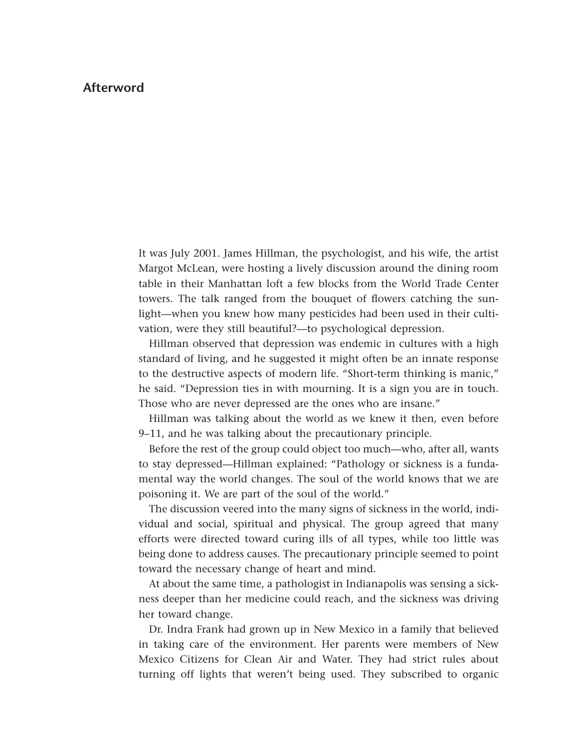## **Afterword**

It was July 2001. James Hillman, the psychologist, and his wife, the artist Margot McLean, were hosting a lively discussion around the dining room table in their Manhattan loft a few blocks from the World Trade Center towers. The talk ranged from the bouquet of flowers catching the sunlight—when you knew how many pesticides had been used in their cultivation, were they still beautiful?—to psychological depression.

Hillman observed that depression was endemic in cultures with a high standard of living, and he suggested it might often be an innate response to the destructive aspects of modern life. "Short-term thinking is manic," he said. "Depression ties in with mourning. It is a sign you are in touch. Those who are never depressed are the ones who are insane."

Hillman was talking about the world as we knew it then, even before 9–11, and he was talking about the precautionary principle.

Before the rest of the group could object too much—who, after all, wants to stay depressed—Hillman explained: "Pathology or sickness is a fundamental way the world changes. The soul of the world knows that we are poisoning it. We are part of the soul of the world."

The discussion veered into the many signs of sickness in the world, individual and social, spiritual and physical. The group agreed that many efforts were directed toward curing ills of all types, while too little was being done to address causes. The precautionary principle seemed to point toward the necessary change of heart and mind.

At about the same time, a pathologist in Indianapolis was sensing a sickness deeper than her medicine could reach, and the sickness was driving her toward change.

Dr. Indra Frank had grown up in New Mexico in a family that believed in taking care of the environment. Her parents were members of New Mexico Citizens for Clean Air and Water. They had strict rules about [turning off lights that weren't being used. They subscribed to organic](#page--1-0)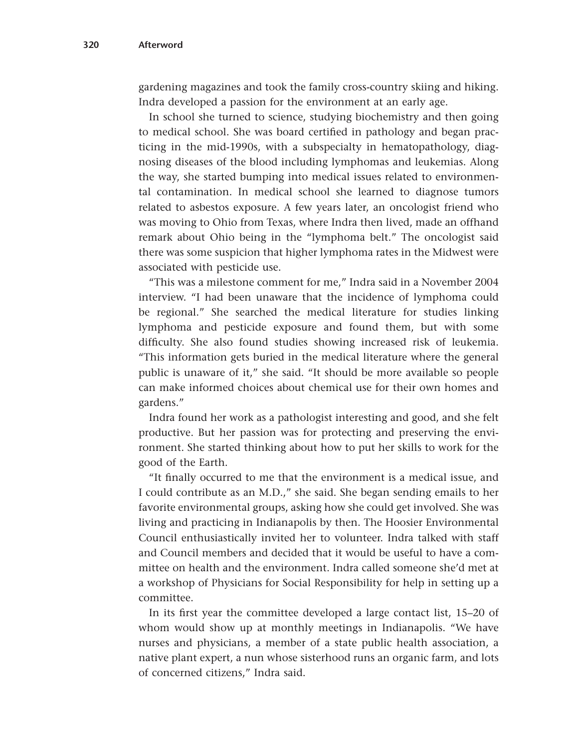gardening magazines and took the family cross-country skiing and hiking. Indra developed a passion for the environment at an early age.

In school she turned to science, studying biochemistry and then going to medical school. She was board certified in pathology and began practicing in the mid-1990s, with a subspecialty in hematopathology, diagnosing diseases of the blood including lymphomas and leukemias. Along the way, she started bumping into medical issues related to environmental contamination. In medical school she learned to diagnose tumors related to asbestos exposure. A few years later, an oncologist friend who was moving to Ohio from Texas, where Indra then lived, made an offhand remark about Ohio being in the "lymphoma belt." The oncologist said there was some suspicion that higher lymphoma rates in the Midwest were associated with pesticide use.

"This was a milestone comment for me," Indra said in a November 2004 interview. "I had been unaware that the incidence of lymphoma could be regional." She searched the medical literature for studies linking lymphoma and pesticide exposure and found them, but with some difficulty. She also found studies showing increased risk of leukemia. "This information gets buried in the medical literature where the general public is unaware of it," she said. "It should be more available so people can make informed choices about chemical use for their own homes and gardens."

Indra found her work as a pathologist interesting and good, and she felt productive. But her passion was for protecting and preserving the environment. She started thinking about how to put her skills to work for the good of the Earth.

"It finally occurred to me that the environment is a medical issue, and I could contribute as an M.D.," she said. She began sending emails to her favorite environmental groups, asking how she could get involved. She was living and practicing in Indianapolis by then. The Hoosier Environmental Council enthusiastically invited her to volunteer. Indra talked with staff and Council members and decided that it would be useful to have a committee on health and the environment. Indra called someone she'd met at a workshop of Physicians for Social Responsibility for help in setting up a committee.

In its first year the committee developed a large contact list, 15–20 of whom would show up at monthly meetings in Indianapolis. "We have nurses and physicians, a member of a state public health association, a native plant expert, a nun whose sisterhood runs an organic farm, and lots of concerned citizens," Indra said.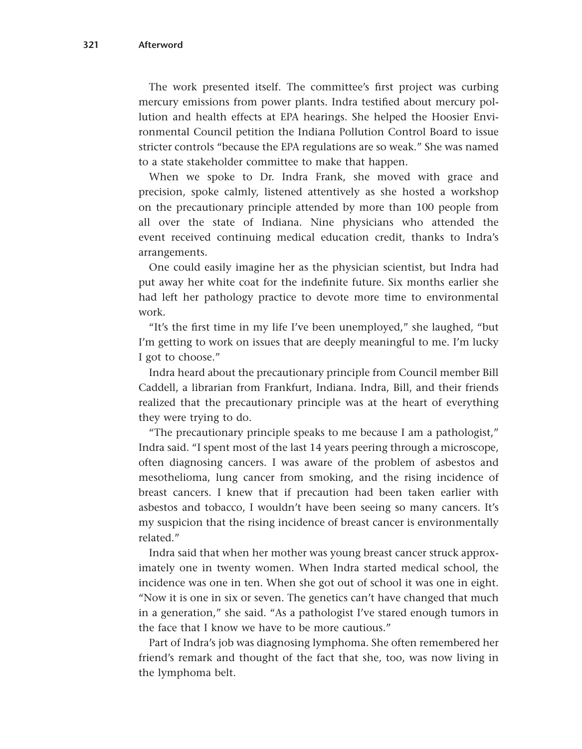The work presented itself. The committee's first project was curbing mercury emissions from power plants. Indra testified about mercury pollution and health effects at EPA hearings. She helped the Hoosier Environmental Council petition the Indiana Pollution Control Board to issue stricter controls "because the EPA regulations are so weak." She was named to a state stakeholder committee to make that happen.

When we spoke to Dr. Indra Frank, she moved with grace and precision, spoke calmly, listened attentively as she hosted a workshop on the precautionary principle attended by more than 100 people from all over the state of Indiana. Nine physicians who attended the event received continuing medical education credit, thanks to Indra's arrangements.

One could easily imagine her as the physician scientist, but Indra had put away her white coat for the indefinite future. Six months earlier she had left her pathology practice to devote more time to environmental work.

"It's the first time in my life I've been unemployed," she laughed, "but I'm getting to work on issues that are deeply meaningful to me. I'm lucky I got to choose."

Indra heard about the precautionary principle from Council member Bill Caddell, a librarian from Frankfurt, Indiana. Indra, Bill, and their friends realized that the precautionary principle was at the heart of everything they were trying to do.

"The precautionary principle speaks to me because I am a pathologist," Indra said. "I spent most of the last 14 years peering through a microscope, often diagnosing cancers. I was aware of the problem of asbestos and mesothelioma, lung cancer from smoking, and the rising incidence of breast cancers. I knew that if precaution had been taken earlier with asbestos and tobacco, I wouldn't have been seeing so many cancers. It's my suspicion that the rising incidence of breast cancer is environmentally related."

Indra said that when her mother was young breast cancer struck approximately one in twenty women. When Indra started medical school, the incidence was one in ten. When she got out of school it was one in eight. "Now it is one in six or seven. The genetics can't have changed that much in a generation," she said. "As a pathologist I've stared enough tumors in the face that I know we have to be more cautious."

Part of Indra's job was diagnosing lymphoma. She often remembered her friend's remark and thought of the fact that she, too, was now living in the lymphoma belt.